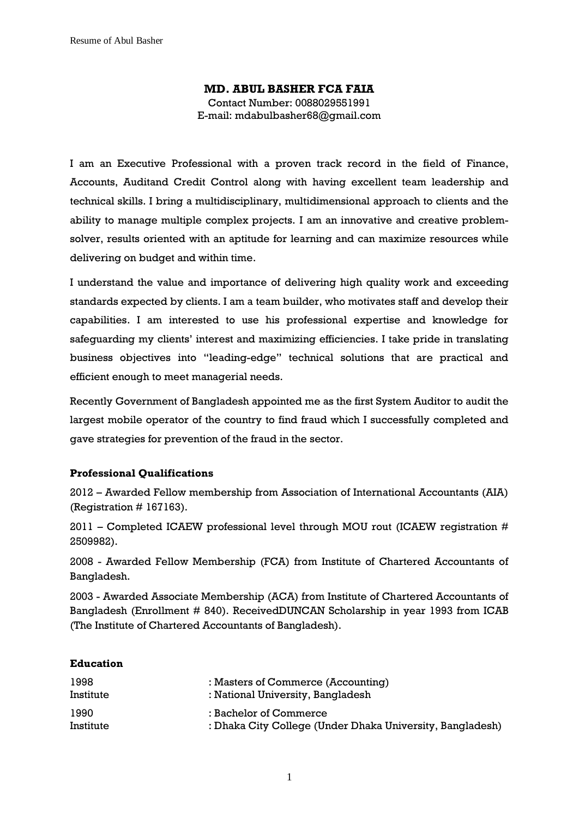# **MD. ABUL BASHER FCA FAIA** Contact Number: 0088029551991 E-mail: mdabulbasher68@gmail.com

I am an Executive Professional with a proven track record in the field of Finance, Accounts, Auditand Credit Control along with having excellent team leadership and technical skills. I bring a multidisciplinary, multidimensional approach to clients and the ability to manage multiple complex projects. I am an innovative and creative problemsolver, results oriented with an aptitude for learning and can maximize resources while delivering on budget and within time.

I understand the value and importance of delivering high quality work and exceeding standards expected by clients. I am a team builder, who motivates staff and develop their capabilities. I am interested to use his professional expertise and knowledge for safeguarding my clients' interest and maximizing efficiencies. I take pride in translating business objectives into "leading-edge" technical solutions that are practical and efficient enough to meet managerial needs.

Recently Government of Bangladesh appointed me as the first System Auditor to audit the largest mobile operator of the country to find fraud which I successfully completed and gave strategies for prevention of the fraud in the sector.

## **Professional Qualifications**

2012 – Awarded Fellow membership from Association of International Accountants (AIA) (Registration  $# 167163$ ).

 $2011$  – Completed ICAEW professional level through MOU rout (ICAEW registration # 2509982).

2008 - Awarded Fellow Membership (FCA) from Institute of Chartered Accountants of Bangladesh.

2003 - Awarded Associate Membership (ACA) from Institute of Chartered Accountants of Bangladesh (Enrollment # 840). ReceivedDUNCAN Scholarship in year 1993 from ICAB (The Institute of Chartered Accountants of Bangladesh).

#### **Education**

| 1998      | : Masters of Commerce (Accounting)                        |
|-----------|-----------------------------------------------------------|
| Institute | : National University, Bangladesh                         |
| 1990      | : Bachelor of Commerce                                    |
| Institute | : Dhaka City College (Under Dhaka University, Bangladesh) |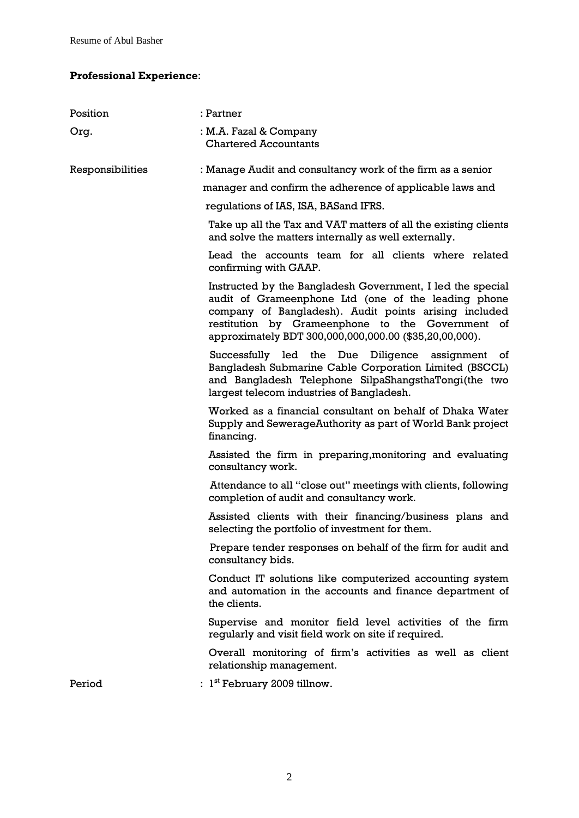# **Professional Experience**:

| Position         | : Partner                                                                                                                                                                                                                                                                                |  |
|------------------|------------------------------------------------------------------------------------------------------------------------------------------------------------------------------------------------------------------------------------------------------------------------------------------|--|
| Org.             | : M.A. Fazal & Company<br><b>Chartered Accountants</b>                                                                                                                                                                                                                                   |  |
| Responsibilities | : Manage Audit and consultancy work of the firm as a senior                                                                                                                                                                                                                              |  |
|                  | manager and confirm the adherence of applicable laws and                                                                                                                                                                                                                                 |  |
|                  | regulations of IAS, ISA, BAS and IFRS.                                                                                                                                                                                                                                                   |  |
|                  | Take up all the Tax and VAT matters of all the existing clients<br>and solve the matters internally as well externally.                                                                                                                                                                  |  |
|                  | Lead the accounts team for all clients where related<br>confirming with GAAP.                                                                                                                                                                                                            |  |
|                  | Instructed by the Bangladesh Government, I led the special<br>audit of Grameenphone Ltd (one of the leading phone<br>company of Bangladesh). Audit points arising included<br>restitution by Grameenphone to the Government of<br>approximately BDT 300,000,000,000.00 (\$35,20,00,000). |  |
|                  | Successfully led the Due Diligence assignment of<br>Bangladesh Submarine Cable Corporation Limited (BSCCL)<br>and Bangladesh Telephone SilpaShangsthaTongi(the two<br>largest telecom industries of Bangladesh.                                                                          |  |
|                  | Worked as a financial consultant on behalf of Dhaka Water<br>Supply and SewerageAuthority as part of World Bank project<br>financing.                                                                                                                                                    |  |
|                  | Assisted the firm in preparing, monitoring and evaluating<br>consultancy work.                                                                                                                                                                                                           |  |
|                  | Attendance to all "close out" meetings with clients, following<br>completion of audit and consultancy work.                                                                                                                                                                              |  |
|                  | Assisted clients with their financing/business plans and<br>selecting the portfolio of investment for them.                                                                                                                                                                              |  |
|                  | Prepare tender responses on behalf of the firm for audit and<br>consultancy bids.                                                                                                                                                                                                        |  |
|                  | Conduct IT solutions like computerized accounting system<br>and automation in the accounts and finance department of<br>the clients.                                                                                                                                                     |  |
|                  | Supervise and monitor field level activities of the firm<br>regularly and visit field work on site if required.                                                                                                                                                                          |  |
|                  | Overall monitoring of firm's activities as well as client<br>relationship management.                                                                                                                                                                                                    |  |
| Period           | : $1st$ February 2009 tillnow.                                                                                                                                                                                                                                                           |  |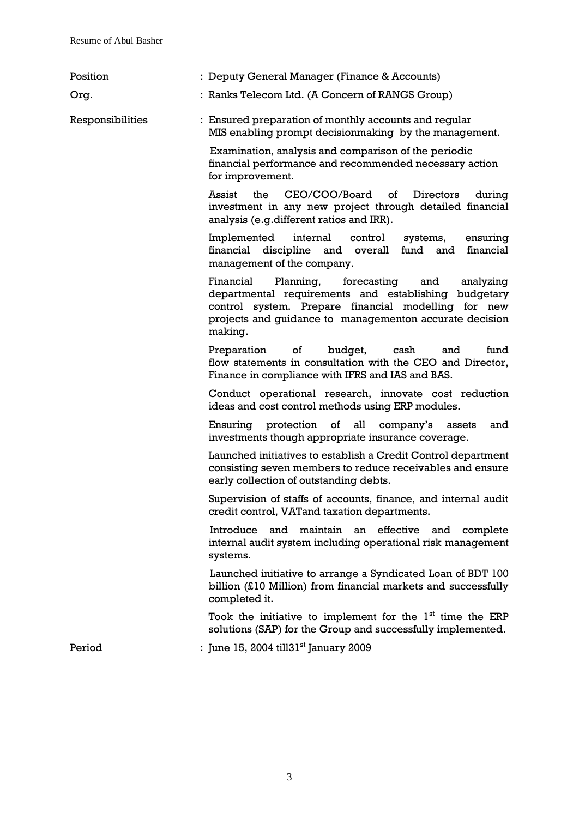| Position         | : Deputy General Manager (Finance & Accounts)                                                                                                                                                                                               |
|------------------|---------------------------------------------------------------------------------------------------------------------------------------------------------------------------------------------------------------------------------------------|
| Org.             | : Ranks Telecom Ltd. (A Concern of RANGS Group)                                                                                                                                                                                             |
| Responsibilities | : Ensured preparation of monthly accounts and reqular<br>MIS enabling prompt decisionmaking by the management.                                                                                                                              |
|                  | Examination, analysis and comparison of the periodic<br>financial performance and recommended necessary action<br>for improvement.                                                                                                          |
|                  | CEO/COO/Board<br>Assist<br>the<br>of<br>Directors<br>during<br>investment in any new project through detailed financial<br>analysis (e.g.different ratios and IRR).                                                                         |
|                  | Implemented<br>internal<br>control<br>systems,<br>ensuring<br>financial discipline and overall fund<br>and financial<br>management of the company.                                                                                          |
|                  | Planning,<br>Financial<br>forecasting and<br>analyzing<br>departmental requirements and establishing budgetary<br>control system. Prepare financial modelling for new<br>projects and guidance to managementon accurate decision<br>making. |
|                  | $\circ$ f<br>budget,<br>cash<br>fund<br>Preparation<br>and<br>flow statements in consultation with the CEO and Director,<br>Finance in compliance with IFRS and IAS and BAS.                                                                |
|                  | Conduct operational research, innovate cost reduction<br>ideas and cost control methods using ERP modules.                                                                                                                                  |
|                  | Ensuring protection of all company's<br>assets<br>and<br>investments though appropriate insurance coverage.                                                                                                                                 |
|                  | Launched initiatives to establish a Credit Control department<br>consisting seven members to reduce receivables and ensure<br>early collection of outstanding debts.                                                                        |
|                  | Supervision of staffs of accounts, finance, and internal audit<br>credit control, VAT and taxation departments.                                                                                                                             |
|                  | Introduce<br>maintain an effective and complete<br>and<br>internal audit system including operational risk management<br>systems.                                                                                                           |
|                  | Launched initiative to arrange a Syndicated Loan of BDT 100<br>billion (£10 Million) from financial markets and successfully<br>completed it.                                                                                               |
|                  | Took the initiative to implement for the $1st$ time the ERP<br>solutions (SAP) for the Group and successfully implemented.                                                                                                                  |
| Period           | : June 15, 2004 till31 <sup>st</sup> January 2009                                                                                                                                                                                           |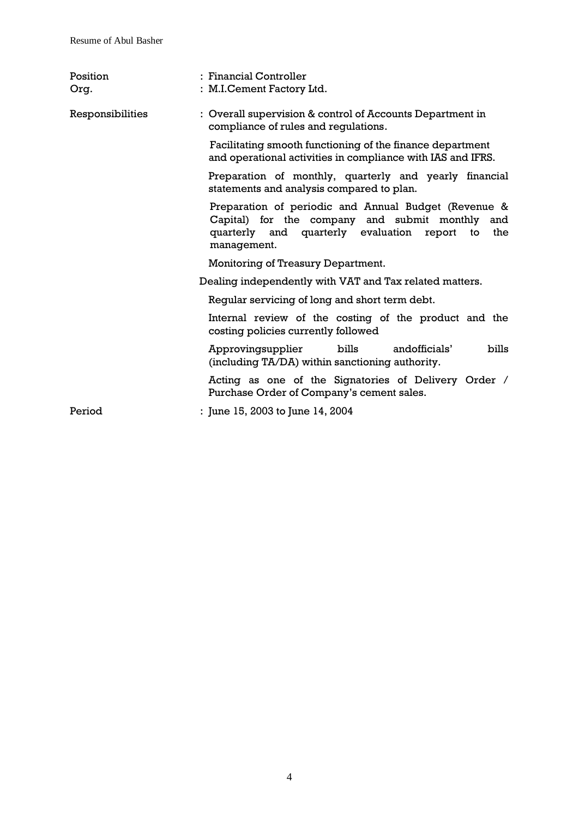| Position<br>Org. | : Financial Controller<br>: M.I.Cement Factory Ltd.                                                                                                                              |  |
|------------------|----------------------------------------------------------------------------------------------------------------------------------------------------------------------------------|--|
| Responsibilities | : Overall supervision & control of Accounts Department in<br>compliance of rules and regulations.                                                                                |  |
|                  | Facilitating smooth functioning of the finance department<br>and operational activities in compliance with IAS and IFRS.                                                         |  |
|                  | Preparation of monthly, quarterly and yearly financial<br>statements and analysis compared to plan.                                                                              |  |
|                  | Preparation of periodic and Annual Budget (Revenue &<br>Capital) for the company and submit monthly and<br>quarterly and quarterly evaluation report<br>the<br>to<br>management. |  |
|                  | Monitoring of Treasury Department.                                                                                                                                               |  |
|                  | Dealing independently with VAT and Tax related matters.                                                                                                                          |  |
|                  | Regular servicing of long and short term debt.                                                                                                                                   |  |
|                  | Internal review of the costing of the product and the<br>costing policies currently followed                                                                                     |  |
|                  | bills<br>bills<br>Approvingsupplier<br>andofficials'<br>(including TA/DA) within sanctioning authority.                                                                          |  |
|                  | Acting as one of the Signatories of Delivery Order /<br>Purchase Order of Company's cement sales.                                                                                |  |
| Period           | : June 15, 2003 to June 14, 2004                                                                                                                                                 |  |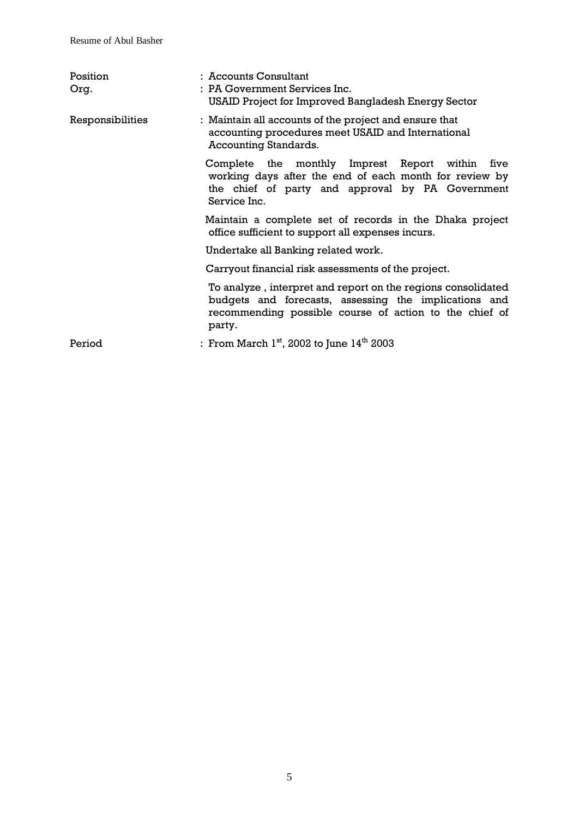| Position<br>Org. | : Accounts Consultant<br>: PA Government Services Inc.<br>USAID Project for Improved Bangladesh Energy Sector                                                                             |  |
|------------------|-------------------------------------------------------------------------------------------------------------------------------------------------------------------------------------------|--|
| Responsibilities | : Maintain all accounts of the project and ensure that<br>accounting procedures meet USAID and International<br><b>Accounting Standards.</b>                                              |  |
|                  | Complete the monthly Imprest Report within<br>five<br>working days after the end of each month for review by<br>the chief of party and approval by PA Government<br>Service Inc.          |  |
|                  | Maintain a complete set of records in the Dhaka project<br>office sufficient to support all expenses incurs.                                                                              |  |
|                  | Undertake all Banking related work.                                                                                                                                                       |  |
|                  | Carryout financial risk assessments of the project.                                                                                                                                       |  |
|                  | To analyze, interpret and report on the regions consolidated<br>budgets and forecasts, assessing the implications and<br>recommending possible course of action to the chief of<br>party. |  |
| Period           | : From March $1st$ , 2002 to June $14th$ 2003                                                                                                                                             |  |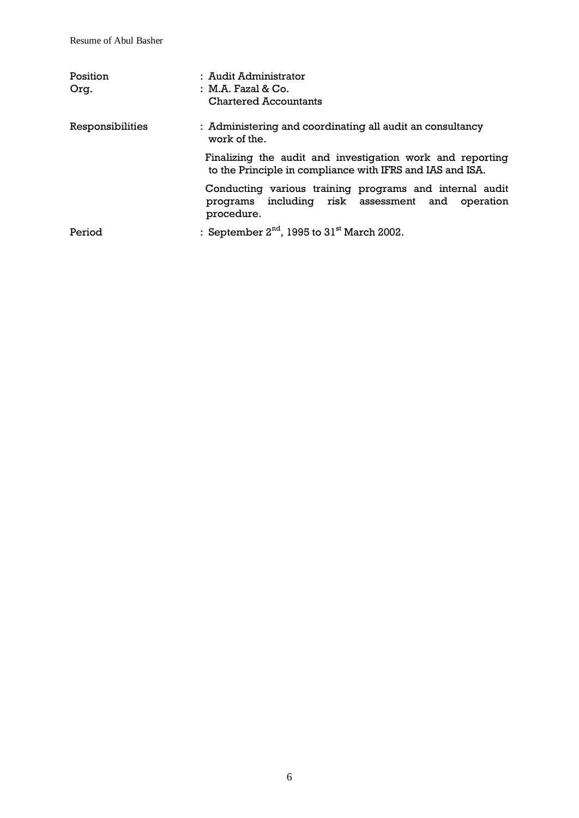| Position<br>Org. | : Audit Administrator<br>: M.A. Fazal & Co.<br>Chartered Accountants                                                      |  |
|------------------|---------------------------------------------------------------------------------------------------------------------------|--|
| Responsibilities | : Administering and coordinating all audit an consultancy<br>work of the.                                                 |  |
|                  | Finalizing the audit and investigation work and reporting<br>to the Principle in compliance with IFRS and IAS and ISA.    |  |
|                  | Conducting various training programs and internal audit<br>programs including risk assessment and operation<br>procedure. |  |
| Period           | : September $2nd$ , 1995 to $31st$ March 2002.                                                                            |  |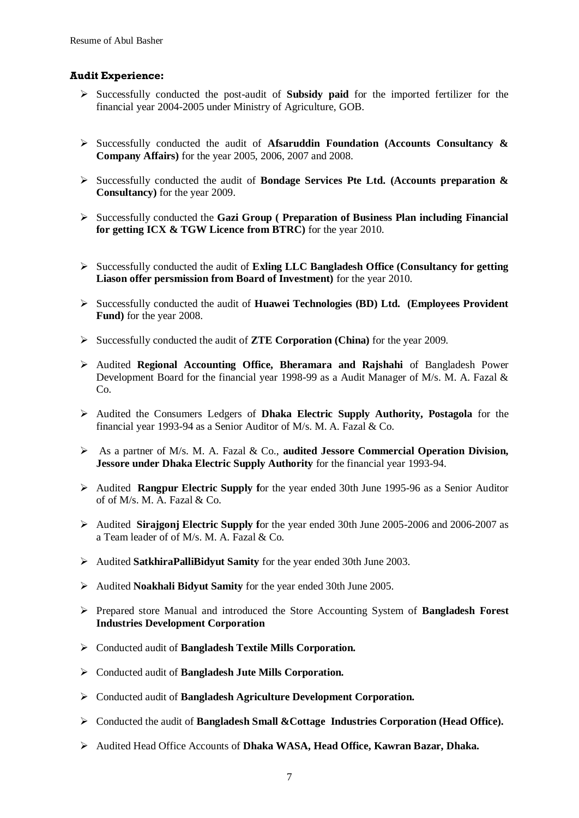#### **Audit Experience:**

- Successfully conducted the post-audit of **Subsidy paid** for the imported fertilizer for the financial year 2004-2005 under Ministry of Agriculture, GOB.
- Successfully conducted the audit of **Afsaruddin Foundation (Accounts Consultancy & Company Affairs)** for the year 2005, 2006, 2007 and 2008.
- Successfully conducted the audit of **Bondage Services Pte Ltd. (Accounts preparation & Consultancy)** for the year 2009.
- Successfully conducted the **Gazi Group ( Preparation of Business Plan including Financial for getting ICX & TGW Licence from BTRC)** for the year 2010.
- Successfully conducted the audit of **Exling LLC Bangladesh Office (Consultancy for getting Liason offer persmission from Board of Investment)** for the year 2010.
- Successfully conducted the audit of **Huawei Technologies (BD) Ltd. (Employees Provident Fund)** for the year 2008.
- Successfully conducted the audit of **ZTE Corporation (China)** for the year 2009.
- Audited **Regional Accounting Office, Bheramara and Rajshahi** of Bangladesh Power Development Board for the financial year 1998-99 as a Audit Manager of M/s. M. A. Fazal & C<sub>o</sub>
- Audited the Consumers Ledgers of **Dhaka Electric Supply Authority, Postagola** for the financial year 1993-94 as a Senior Auditor of M/s. M. A. Fazal & Co.
- As a partner of M/s. M. A. Fazal & Co., **audited Jessore Commercial Operation Division, Jessore under Dhaka Electric Supply Authority** for the financial year 1993-94.
- Audited **Rangpur Electric Supply f**or the year ended 30th June 1995-96 as a Senior Auditor of of M/s. M. A. Fazal & Co.
- Audited **Sirajgonj Electric Supply f**or the year ended 30th June 2005-2006 and 2006-2007 as a Team leader of of M/s. M. A. Fazal & Co.
- Audited **SatkhiraPalliBidyut Samity** for the year ended 30th June 2003.
- Audited **Noakhali Bidyut Samity** for the year ended 30th June 2005.
- Prepared store Manual and introduced the Store Accounting System of **Bangladesh Forest Industries Development Corporation**
- Conducted audit of **Bangladesh Textile Mills Corporation.**
- Conducted audit of **Bangladesh Jute Mills Corporation.**
- Conducted audit of **Bangladesh Agriculture Development Corporation.**
- Conducted the audit of **Bangladesh Small &Cottage Industries Corporation (Head Office).**
- Audited Head Office Accounts of **Dhaka WASA, Head Office, Kawran Bazar, Dhaka.**